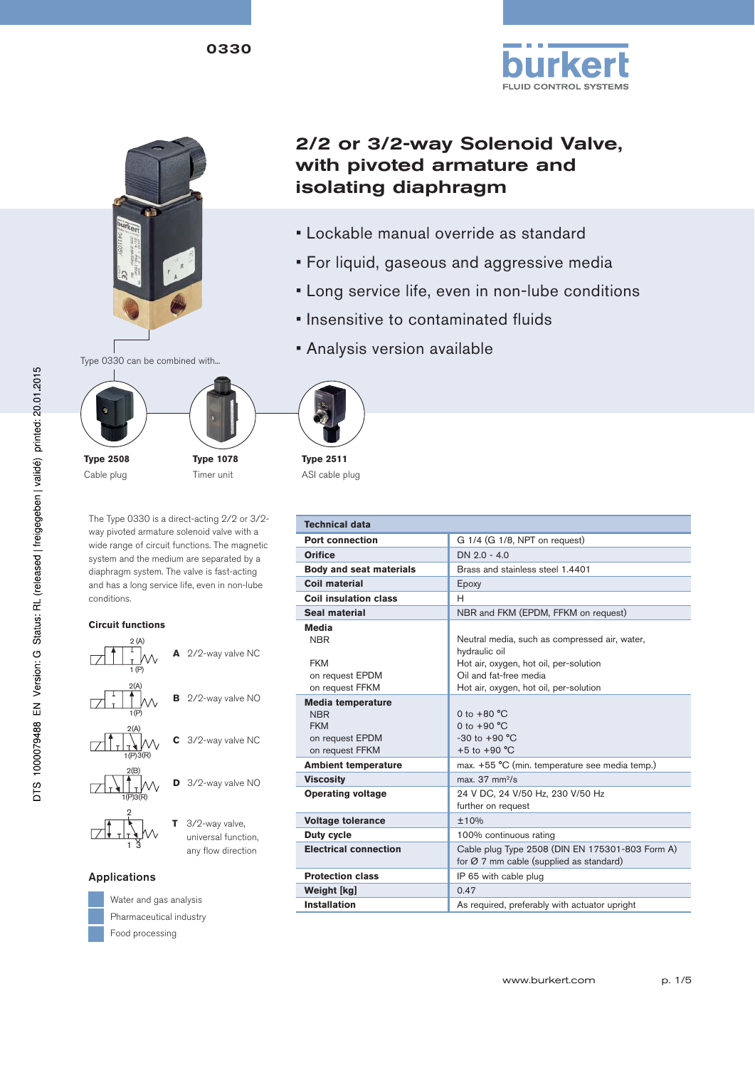



## 2/2 or 3/2-way Solenoid Valve, with pivoted armature and isolating diaphragm

- Lockable manual override as standard
- For liquid, gaseous and aggressive media
- Long service life, even in non-lube conditions
- Insensitive to contaminated fluids
- Analysis version available



**Type 2508** Cable plug



**Type 2511**

The Type 0330 is a direct-acting 2/2 or 3/2 way pivoted armature solenoid valve with a wide range of circuit functions. The magnetic system and the medium are separated by a diaphragm system. The valve is fast-acting and has a long service life, even in non-lube conditions.

**Type 1078** Timer unit

#### **Circuit functions**



 universal function, any flow direction

#### Applications

13



Water and gas analysis Pharmaceutical industry Food processing



ASI cable plug

| <b>Technical data</b>                                                                      |                                                                                                                                    |
|--------------------------------------------------------------------------------------------|------------------------------------------------------------------------------------------------------------------------------------|
| <b>Port connection</b>                                                                     | G 1/4 (G 1/8, NPT on request)                                                                                                      |
| Orifice                                                                                    | $DN 2.0 - 4.0$                                                                                                                     |
| <b>Body and seat materials</b>                                                             | Brass and stainless steel 1.4401                                                                                                   |
| Coil material                                                                              | Epoxy                                                                                                                              |
| Coil insulation class                                                                      | н                                                                                                                                  |
| Seal material                                                                              | NBR and FKM (EPDM, FFKM on request)                                                                                                |
| Media<br><b>NBR</b><br><b>FKM</b><br>on request EPDM                                       | Neutral media, such as compressed air, water,<br>hydraulic oil<br>Hot air, oxygen, hot oil, per-solution<br>Oil and fat-free media |
| on request FFKM                                                                            | Hot air, oxygen, hot oil, per-solution                                                                                             |
| <b>Media temperature</b><br><b>NBR</b><br><b>FKM</b><br>on request EPDM<br>on request FFKM | 0 to $+80 °C$<br>0 to $+90 °C$<br>$-30$ to $+90$ °C<br>$+5$ to $+90$ °C                                                            |
| <b>Ambient temperature</b>                                                                 | max. +55 °C (min. temperature see media temp.)                                                                                     |
| <b>Viscosity</b>                                                                           | max. $37 \text{ mm}^2/\text{s}$                                                                                                    |
| <b>Operating voltage</b>                                                                   | 24 V DC, 24 V/50 Hz, 230 V/50 Hz<br>further on request                                                                             |
| <b>Voltage tolerance</b>                                                                   | ±10%                                                                                                                               |
| Duty cycle                                                                                 | 100% continuous rating                                                                                                             |
| <b>Electrical connection</b>                                                               | Cable plug Type 2508 (DIN EN 175301-803 Form A)<br>for $\varnothing$ 7 mm cable (supplied as standard)                             |
| <b>Protection class</b>                                                                    | IP 65 with cable plug                                                                                                              |
| Weight [kg]                                                                                | 0.47                                                                                                                               |
| <b>Installation</b>                                                                        | As required, preferably with actuator upright                                                                                      |

#### www.burkert.com p. 1/5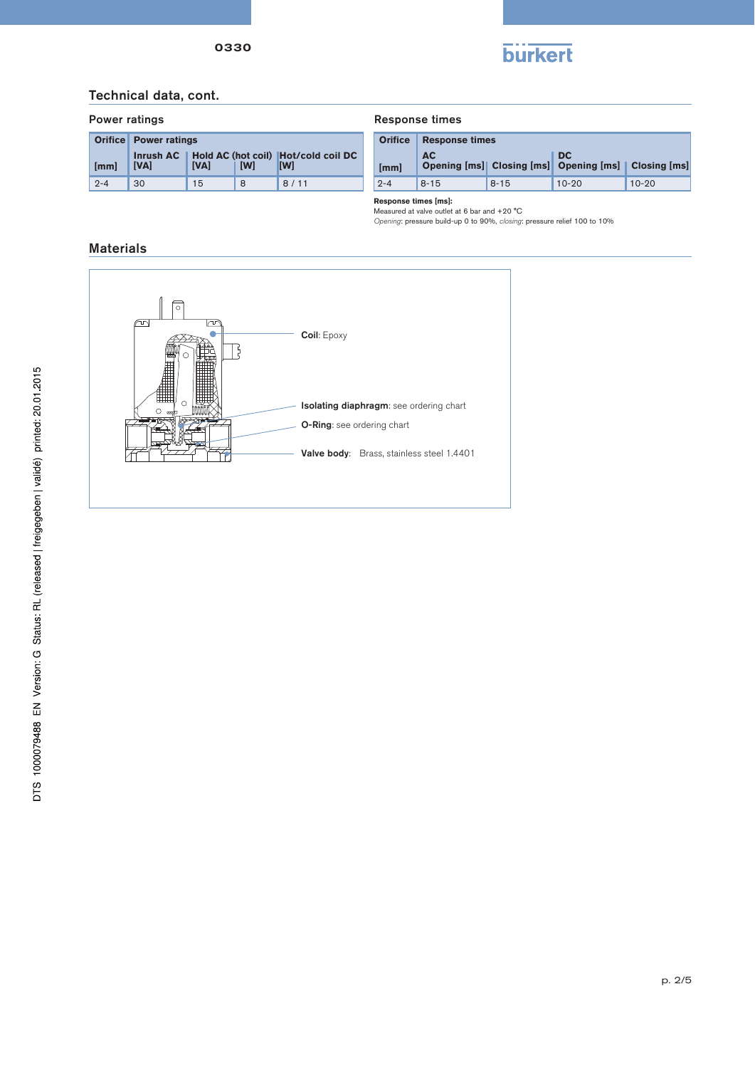

#### Technical data, cont.

|         | <b>Orifice Power ratings</b> |             |     |                                                   |  |  |  |  |  |
|---------|------------------------------|-------------|-----|---------------------------------------------------|--|--|--|--|--|
| [mm]    | Inrush $AC$<br><b>IVAI</b>   | <b>IVAI</b> | [W] | Hold AC (hot coil) Hot/cold coil DC<br><b>IMI</b> |  |  |  |  |  |
| $2 - 4$ | 30                           | 15          | 8   | 8/11                                              |  |  |  |  |  |

#### Power ratings The Community Response times

| <b>Orifice</b> | <b>Response times</b> |          |                                                            |           |  |  |  |  |  |
|----------------|-----------------------|----------|------------------------------------------------------------|-----------|--|--|--|--|--|
| [mm]           | AC.                   |          | DC.<br>Opening [ms] Closing [ms] Opening [ms] Closing [ms] |           |  |  |  |  |  |
| $2 - 4$        | $8 - 15$              | $8 - 15$ | $10 - 20$                                                  | $10 - 20$ |  |  |  |  |  |

**Response times [ms]:**  Measured at valve outlet at 6 bar and +20 °C

Opening: pressure build-up 0 to 90%, closing: pressure relief 100 to 10%

#### Materials

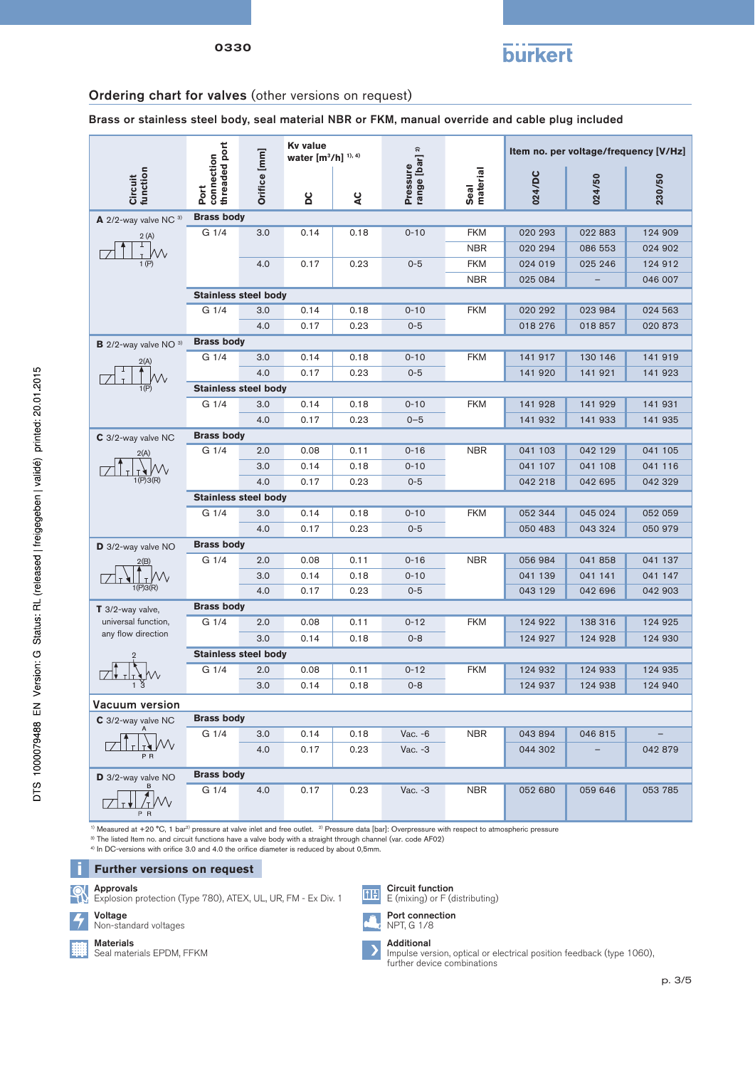

#### Ordering chart for valves (other versions on request)

Brass or stainless steel body, seal material NBR or FKM, manual override and cable plug included

|                                           |                                     |              | <b>Kv</b> value<br>water $[m^3/h]$ <sup>1), 4)</sup> |                    |                            |                  | Item no. per voltage/frequency [V/Hz] |         |         |  |  |  |
|-------------------------------------------|-------------------------------------|--------------|------------------------------------------------------|--------------------|----------------------------|------------------|---------------------------------------|---------|---------|--|--|--|
| Circuit<br>function                       | Port<br>connection<br>threaded port | Orifice [mm] | <b>DC</b>                                            | $\alpha$           | Pressure<br>range [bar] 2) | Seal<br>material | 024/DC                                | 024/50  | 230/50  |  |  |  |
| $\mathsf{A}$ 2/2-way valve NC $3)$        | <b>Brass body</b>                   |              |                                                      |                    |                            |                  |                                       |         |         |  |  |  |
| 2(A)                                      | G 1/4                               | 3.0          | 0.14                                                 | 0.18               | $0 - 10$                   | <b>FKM</b>       | 020 293                               | 022 883 | 124 909 |  |  |  |
| T                                         |                                     |              |                                                      |                    |                            | <b>NBR</b>       | 020 294                               | 086 553 | 024 902 |  |  |  |
| 1(P)                                      |                                     | 4.0          | 0.17                                                 | 0.23               | $0 - 5$                    | <b>FKM</b>       | 024 019                               | 025 246 | 124 912 |  |  |  |
|                                           |                                     |              |                                                      |                    |                            | <b>NBR</b>       | 025 084                               |         | 046 007 |  |  |  |
|                                           | <b>Stainless steel body</b>         |              |                                                      |                    |                            |                  |                                       |         |         |  |  |  |
|                                           | G 1/4                               | 3.0          | 0.14                                                 | 0.18               | $0 - 10$                   | <b>FKM</b>       | 020 292                               | 023 984 | 024 563 |  |  |  |
|                                           |                                     | 4.0          | 0.17                                                 | 0.23               | $0 - 5$                    |                  | 018 276                               | 018 857 | 020 873 |  |  |  |
| $B$ 2/2-way valve NO $3)$                 | <b>Brass body</b>                   |              |                                                      |                    |                            |                  |                                       |         |         |  |  |  |
| 2(A)                                      | G <sub>1/4</sub>                    | 3.0          | 0.14                                                 | 0.18               | $0 - 10$                   | <b>FKM</b>       | 141 917                               | 130 146 | 141 919 |  |  |  |
|                                           |                                     | 4.0          | 0.17                                                 | 0.23               | $0 - 5$                    |                  | 141 920                               | 141 921 | 141 923 |  |  |  |
| 1(P)                                      | <b>Stainless steel body</b>         |              |                                                      |                    |                            |                  |                                       |         |         |  |  |  |
|                                           | G 1/4                               | 3.0          | 0.14                                                 | 0.18               | $0 - 10$                   | <b>FKM</b>       | 141 928                               | 141 929 | 141 931 |  |  |  |
|                                           |                                     | 4.0          | 0.17                                                 | 0.23               | $0 - 5$                    |                  | 141 932                               | 141 933 | 141 935 |  |  |  |
| C 3/2-way valve NC                        | <b>Brass body</b>                   |              |                                                      |                    |                            |                  |                                       |         |         |  |  |  |
| 2(A)                                      | G 1/4                               | 2.0          | 0.08                                                 | 0.11               | $0 - 16$                   | <b>NBR</b>       | 041 103                               | 042 129 | 041 105 |  |  |  |
|                                           |                                     | 3.0          | 0.14                                                 | 0.18               | $0 - 10$                   |                  | 041 107                               | 041 108 | 041 116 |  |  |  |
| 1(P)3(R)                                  |                                     | 4.0          | 0.17                                                 | 0.23               | $0 - 5$                    |                  | 042 218                               | 042 695 | 042 329 |  |  |  |
|                                           | <b>Stainless steel body</b>         |              |                                                      |                    |                            |                  |                                       |         |         |  |  |  |
|                                           | G 1/4                               | 3.0          | 0.14                                                 | 0.18               | $0 - 10$                   | <b>FKM</b>       | 052 344                               | 045 024 | 052 059 |  |  |  |
|                                           |                                     | 4.0          | 0.17                                                 | 0.23               | $0 - 5$                    |                  | 050 483                               | 043 324 | 050 979 |  |  |  |
| D 3/2-way valve NO                        | <b>Brass body</b>                   |              |                                                      |                    |                            |                  |                                       |         |         |  |  |  |
|                                           | G 1/4                               | 2.0          | 0.08                                                 | 0.11               | $0 - 16$                   | <b>NBR</b>       | 056 984                               | 041 858 | 041 137 |  |  |  |
|                                           |                                     | 3.0          | 0.14                                                 | 0.18               | $0 - 10$                   |                  | 041 139                               | 041 141 | 041 147 |  |  |  |
| 1(P)3(R)                                  |                                     | 4.0          | 0.17                                                 | 0.23               | $0 - 5$                    |                  | 043 129                               | 042 696 | 042 903 |  |  |  |
| $T$ 3/2-way valve,                        | <b>Brass body</b>                   |              |                                                      |                    |                            |                  |                                       |         |         |  |  |  |
| universal function,<br>any flow direction | G <sub>1/4</sub>                    | 2.0          | 0.08                                                 | 0.11               | $0 - 12$                   | <b>FKM</b>       | 124 922                               | 138 316 | 124 925 |  |  |  |
|                                           |                                     | 3.0          | 0.14                                                 | 0.18               | $0 - 8$                    |                  | 124 927                               | 124 928 | 124 930 |  |  |  |
|                                           | <b>Stainless steel body</b>         |              |                                                      |                    |                            |                  |                                       |         |         |  |  |  |
|                                           | G 1/4                               | 2.0          | 0.08                                                 | 0.11               | $0 - 12$                   | <b>FKM</b>       | 124 932                               | 124 933 | 124 935 |  |  |  |
|                                           |                                     | 3.0          | 0.14                                                 | 0.18               | $0 - 8$                    |                  | 124 937                               | 124 938 | 124 940 |  |  |  |
| Vacuum version                            |                                     |              |                                                      |                    |                            |                  |                                       |         |         |  |  |  |
| C 3/2-way valve NC                        | <b>Brass body</b>                   |              |                                                      |                    |                            |                  |                                       |         |         |  |  |  |
|                                           | G 1/4                               | 3.0          | 0.14                                                 | 0.18               | Vac. - 6                   | <b>NBR</b>       | 043 894                               | 046 815 |         |  |  |  |
| P <sub>R</sub>                            |                                     | 4.0          | 0.17                                                 | 0.23               | Vac. -3                    |                  | 044 302                               |         | 042 879 |  |  |  |
| D 3/2-way valve NO                        | <b>Brass body</b>                   |              |                                                      |                    |                            |                  |                                       |         |         |  |  |  |
|                                           | G 1/4                               | 4.0          | 0.17                                                 | 0.23               | Vac. -3                    | <b>NBR</b>       | 052 680                               | 059 646 | 053 785 |  |  |  |
|                                           |                                     |              | $H0 + 2)$ D <sub>ro</sub>                            | ouro doto [bor]: O |                            |                  |                                       |         |         |  |  |  |

 $1)$  Measured at +20 °C, 1 bar<sup>2)</sup> pressure at valve inlet and free outlet.  $2)$  Pressure data [bar]: Overpressure with respect to atmospheric pressure

<sup>3)</sup> The listed Item no. and circuit functions have a valve body with a straight through channel (var. code AF02) <sup>4)</sup> In DC-versions with orifice 3.0 and 4.0 the orifice diameter is reduced by about 0,5mm.

**Further versions on request** 

Approvals

Explosion protection (Type 780), ATEX, UL, UR, FM - Ex Div. 1



Non-standard voltages

Materials

Seal materials EPDM, FFKM







Impulse version, optical or electrical position feedback (type 1060), further device combinations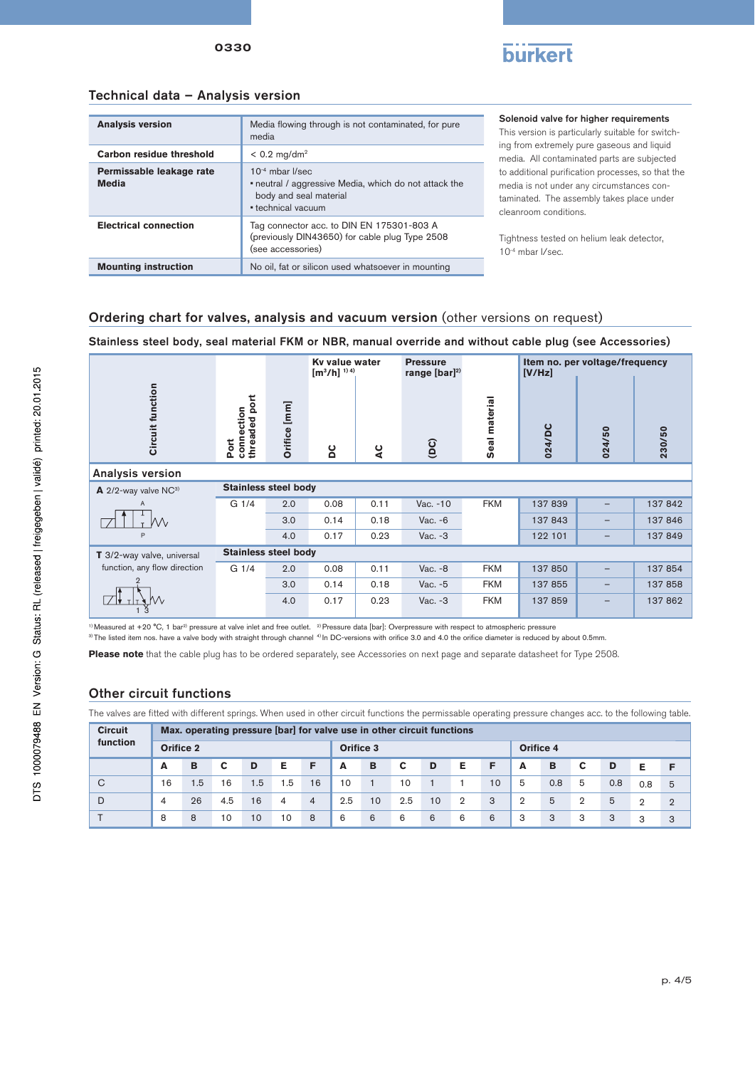

# Technical data – Analysis version

0330

| <b>Analysis version</b>                  | Media flowing through is not contaminated, for pure<br>media                                                                          |
|------------------------------------------|---------------------------------------------------------------------------------------------------------------------------------------|
| Carbon residue threshold                 | $< 0.2$ mg/dm <sup>2</sup>                                                                                                            |
| Permissable leakage rate<br><b>Media</b> | $10^{-4}$ mbar $\sqrt{\sec}$<br>• neutral / aggressive Media, which do not attack the<br>body and seal material<br>• technical vacuum |
| <b>Electrical connection</b>             | Tag connector acc. to DIN EN 175301-803 A<br>(previously DIN43650) for cable plug Type 2508<br>(see accessories)                      |
| <b>Mounting instruction</b>              | No oil, fat or silicon used whatsoever in mounting                                                                                    |

Solenoid valve for higher requirements

This version is particularly suitable for switching from extremely pure gaseous and liquid media. All contaminated parts are subjected to additional purification processes, so that the media is not under any circumstances contaminated. The assembly takes place under cleanroom conditions.

Tightness tested on helium leak detector, 10-4 mbar I/sec.

### Ordering chart for valves, analysis and vacuum version (other versions on request)

Stainless steel body, seal material FKM or NBR, manual override and without cable plug (see Accessories)

|                                             |                                     |              | Ky value water<br>$[m^3/h]$ <sup>1) 4)</sup> |      | <b>Pressure</b><br>range $[bar]^{2)}$ |               | Item no. per voltage/frequency<br>[V/Hz] |                   |         |  |  |
|---------------------------------------------|-------------------------------------|--------------|----------------------------------------------|------|---------------------------------------|---------------|------------------------------------------|-------------------|---------|--|--|
| Circuit function                            | threaded port<br>Port<br>connection | Orifice [mm] | ပိ                                           | 2    | $\overline{1}$                        | Seal material | 024/DC                                   | 024/50            | 230/50  |  |  |
| Analysis version                            |                                     |              |                                              |      |                                       |               |                                          |                   |         |  |  |
| $\mathbf{A}$ 2/2-way valve NC <sup>3)</sup> | <b>Stainless steel body</b>         |              |                                              |      |                                       |               |                                          |                   |         |  |  |
| $\overline{A}$                              | G 1/4                               | 2.0          | 0.08                                         | 0.11 | Vac. - 10                             | <b>FKM</b>    | 137 839                                  |                   | 137842  |  |  |
| W                                           |                                     | 3.0          | 0.14                                         | 0.18 | Vac. - 6                              |               | 137 843                                  | $\qquad \qquad -$ | 137846  |  |  |
| P                                           |                                     | 4.0          | 0.17                                         | 0.23 | Vac. $-3$                             |               | 122 101                                  | -                 | 137849  |  |  |
| T 3/2-way valve, universal                  | <b>Stainless steel body</b>         |              |                                              |      |                                       |               |                                          |                   |         |  |  |
| function, any flow direction                | G 1/4                               | 2.0          | 0.08                                         | 0.11 | Vac. - 8                              | <b>FKM</b>    | 137 850                                  | -                 | 137 854 |  |  |
|                                             |                                     | 3.0          | 0.14                                         | 0.18 | Vac. -5                               | <b>FKM</b>    | 137 855                                  | $\qquad \qquad -$ | 137858  |  |  |
|                                             |                                     | 4.0          | 0.17                                         | 0.23 | Vac. $-3$                             | <b>FKM</b>    | 137859                                   | -                 | 137 862 |  |  |

<sup>1)</sup> Measured at +20 °C, 1 bar<sup>2)</sup> pressure at valve inlet and free outlet. <sup>2)</sup> Pressure data [bar]: Overpressure with respect to atmospheric pressure  $^{\rm 3)}$ The listed item nos. have a valve body with straight through channel  $^{\rm 4)}$ In DC-versions with orifice 3.0 and 4.0 the orifice diameter is reduced by about 0.5mm.

**Please note** that the cable plug has to be ordered separately, see Accessories on next page and separate datasheet for Type 2508.

#### Other circuit functions

The valves are fitted with different springs. When used in other circuit functions the permissable operating pressure changes acc. to the following table.

| <b>Circuit</b> | Max. operating pressure [bar] for valve use in other circuit functions |     |     |     |     |                |     |                  |     |    |                |                  |                |     |                |     |          |                |
|----------------|------------------------------------------------------------------------|-----|-----|-----|-----|----------------|-----|------------------|-----|----|----------------|------------------|----------------|-----|----------------|-----|----------|----------------|
| function       | Orifice 2                                                              |     |     |     |     |                |     | <b>Orifice 3</b> |     |    |                | <b>Orifice 4</b> |                |     |                |     |          |                |
|                | A                                                                      | B   | С   | D   | Е   | F              | A   | в                | C   | D  | Е              | F                | A              | B   | С              | D   | Е        | E              |
| C              | 16                                                                     | 1.5 | 16  | 1.5 | 1.5 | 16             | 10  |                  | 10  |    |                | 10               | 5              | 0.8 | 5              | 0.8 | 0.8      | 5              |
| D              | 4                                                                      | 26  | 4.5 | 16  | 4   | $\overline{4}$ | 2.5 | 10               | 2.5 | 10 | $\overline{2}$ | 3                | $\overline{2}$ | 5   | $\overline{2}$ | 5   | $\Omega$ | $\overline{2}$ |
|                | 8                                                                      | 8   | 10  | 10  | 10  | 8              | 6   | 6                | 6   | 6  | 6              | 6                | 3              | 3   | 3              | 3   | 3        | 3              |